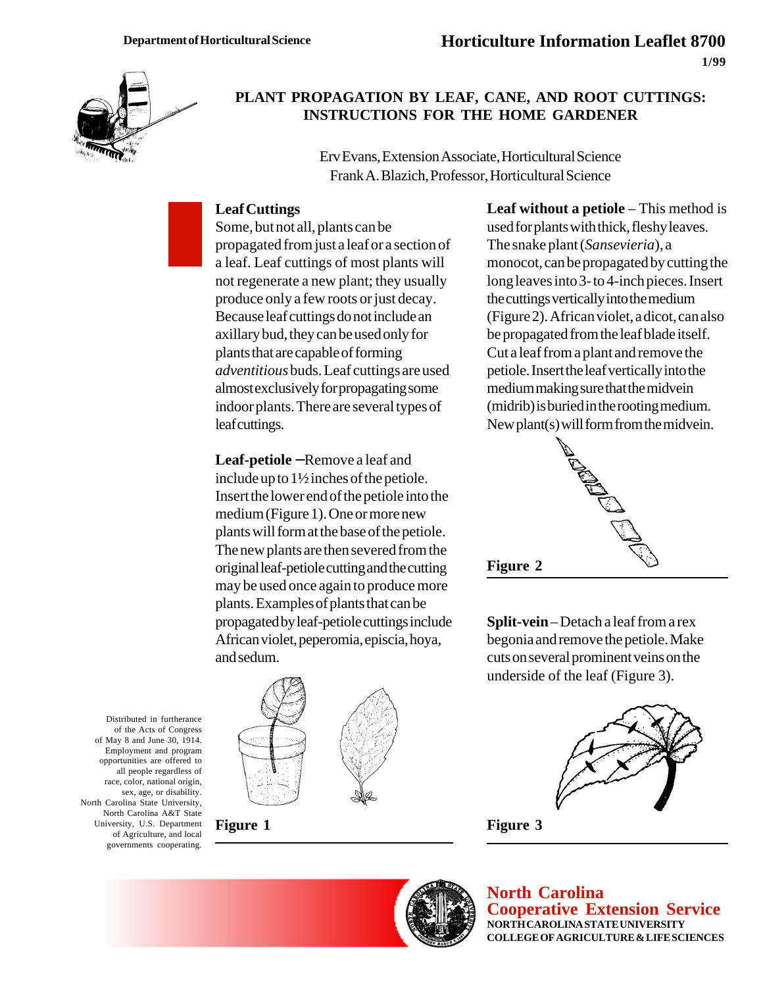

### **PLANT PROPAGATION BY LEAF, CANE, AND ROOT CUTTINGS: INSTRUCTIONS FOR THE HOME GARDENER**

Erv Evans, Extension Associate, Horticultural Science Frank A. Blazich, Professor, Horticultural Science

#### **Leaf Cuttings**

Some, but not all, plants can be propagated from just a leaf or a section of a leaf. Leaf cuttings of most plants will not regenerate a new plant; they usually produce only a few roots or just decay. Because leaf cuttings do not include an axillary bud, they can be used only for plants that are capable of forming *adventitious* buds. Leaf cuttings are used almost exclusively for propagating some indoor plants. There are several types of leaf cuttings.

**Leaf-petiole** − Remove a leaf and include up to 1½ inches of the petiole. Insert the lower end of the petiole into the medium (Figure 1). One or more new plants will form at the base of the petiole. The new plants are then severed from the original leaf-petiole cutting and the cutting may be used once again to produce more plants. Examples of plants that can be propagated by leaf-petiole cuttings include African violet, peperomia, episcia, hoya, and sedum.



**Figure 1**

**Leaf without a petiole** – This method is used for plants with thick, fleshy leaves. The snake plant (*Sansevieria*), a monocot, can be propagated by cutting the long leaves into 3- to 4-inch pieces. Insert the cuttings vertically into the medium (Figure 2). African violet, a dicot, can also be propagated from the leaf blade itself. Cut a leaf from a plant and remove the petiole. Insert the leaf vertically into the medium making sure that the midvein (midrib) is buried in the rooting medium. New plant(s) will form from the midvein.



**Split-vein** – Detach a leaf from a rex begonia and remove the petiole. Make cuts on several prominent veins on the underside of the leaf (Figure 3).







**North Carolina Cooperative Extension Service NORTH CAROLINA STATE UNIVERSITY COLLEGE OF AGRICULTURE & LIFE SCIENCES**

Distributed in furtherance of the Acts of Congress of May 8 and June 30, 1914. Employment and program opportunities are offered to all people regardless of race, color, national origin, sex, age, or disability. North Carolina State University, North Carolina A&T State University, U.S. Department of Agriculture, and local governments cooperating.